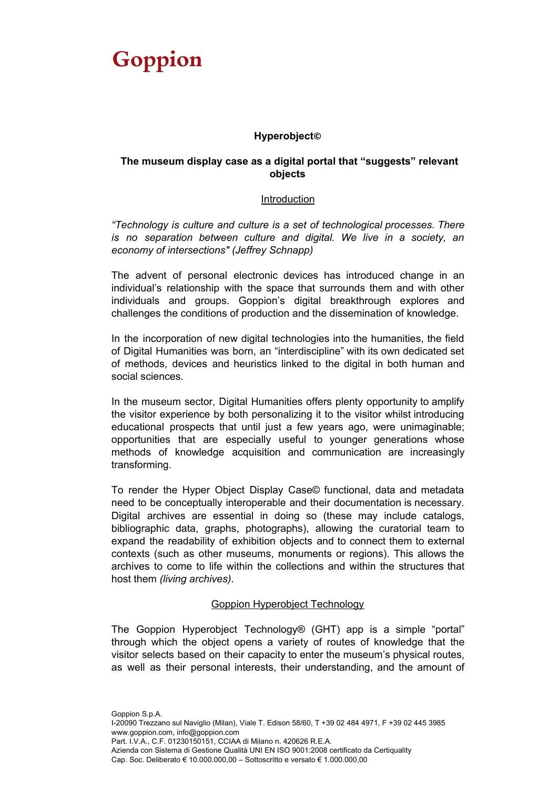### **Hyperobject©**

### **The museum display case as a digital portal that "suggests" relevant objects**

#### Introduction

*"Technology is culture and culture is a set of technological processes. There is no separation between culture and digital. We live in a society, an economy of intersections" (Jeffrey Schnapp)*

The advent of personal electronic devices has introduced change in an individual's relationship with the space that surrounds them and with other individuals and groups. Goppion's digital breakthrough explores and challenges the conditions of production and the dissemination of knowledge.

In the incorporation of new digital technologies into the humanities, the field of Digital Humanities was born, an "interdiscipline" with its own dedicated set of methods, devices and heuristics linked to the digital in both human and social sciences.

In the museum sector, Digital Humanities offers plenty opportunity to amplify the visitor experience by both personalizing it to the visitor whilst introducing educational prospects that until just a few years ago, were unimaginable; opportunities that are especially useful to younger generations whose methods of knowledge acquisition and communication are increasingly transforming.

To render the Hyper Object Display Case© functional, data and metadata need to be conceptually interoperable and their documentation is necessary. Digital archives are essential in doing so (these may include catalogs, bibliographic data, graphs, photographs), allowing the curatorial team to expand the readability of exhibition objects and to connect them to external contexts (such as other museums, monuments or regions). This allows the archives to come to life within the collections and within the structures that host them *(living archives)*.

#### Goppion Hyperobject Technology

The Goppion Hyperobject Technology® (GHT) app is a simple "portal" through which the object opens a variety of routes of knowledge that the visitor selects based on their capacity to enter the museum's physical routes, as well as their personal interests, their understanding, and the amount of

Goppion S.p.A. I-20090 Trezzano sul Naviglio (Milan), Viale T. Edison 58/60, T +39 02 484 4971, F +39 02 445 3985 www.goppion.com, info@goppion.com Part. I.V.A., C.F. 01230150151, CCIAA di Milano n. 420626 R.E.A. Azienda con Sistema di Gestione Qualità UNI EN ISO 9001:2008 certificato da Certiquality Cap. Soc. Deliberato € 10.000.000,00 – Sottoscritto e versato € 1.000.000,00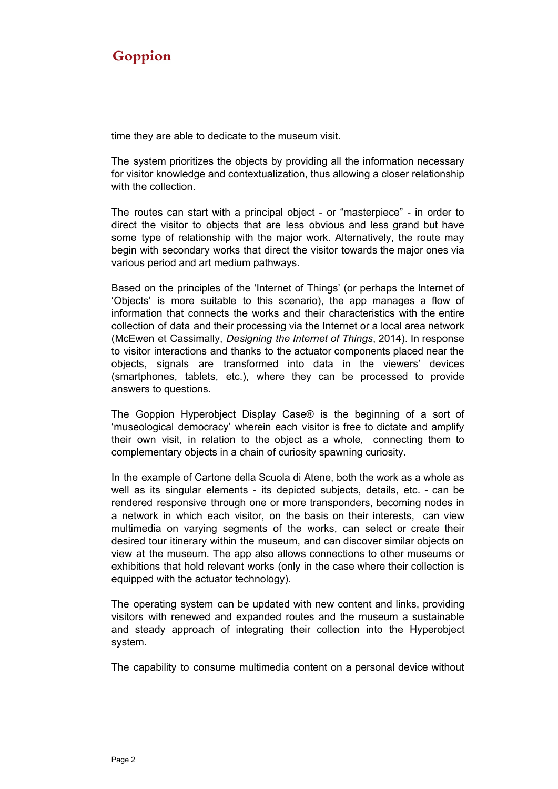time they are able to dedicate to the museum visit.

The system prioritizes the objects by providing all the information necessary for visitor knowledge and contextualization, thus allowing a closer relationship with the collection.

The routes can start with a principal object - or "masterpiece" - in order to direct the visitor to objects that are less obvious and less grand but have some type of relationship with the major work. Alternatively, the route may begin with secondary works that direct the visitor towards the major ones via various period and art medium pathways.

Based on the principles of the 'Internet of Things' (or perhaps the Internet of 'Objects' is more suitable to this scenario), the app manages a flow of information that connects the works and their characteristics with the entire collection of data and their processing via the Internet or a local area network (McEwen et Cassimally, *Designing the Internet of Things*, 2014). In response to visitor interactions and thanks to the actuator components placed near the objects, signals are transformed into data in the viewers' devices (smartphones, tablets, etc.), where they can be processed to provide answers to questions.

The Goppion Hyperobject Display Case® is the beginning of a sort of 'museological democracy' wherein each visitor is free to dictate and amplify their own visit, in relation to the object as a whole, connecting them to complementary objects in a chain of curiosity spawning curiosity.

In the example of Cartone della Scuola di Atene, both the work as a whole as well as its singular elements - its depicted subjects, details, etc. - can be rendered responsive through one or more transponders, becoming nodes in a network in which each visitor, on the basis on their interests, can view multimedia on varying segments of the works, can select or create their desired tour itinerary within the museum, and can discover similar objects on view at the museum. The app also allows connections to other museums or exhibitions that hold relevant works (only in the case where their collection is equipped with the actuator technology).

The operating system can be updated with new content and links, providing visitors with renewed and expanded routes and the museum a sustainable and steady approach of integrating their collection into the Hyperobject system.

The capability to consume multimedia content on a personal device without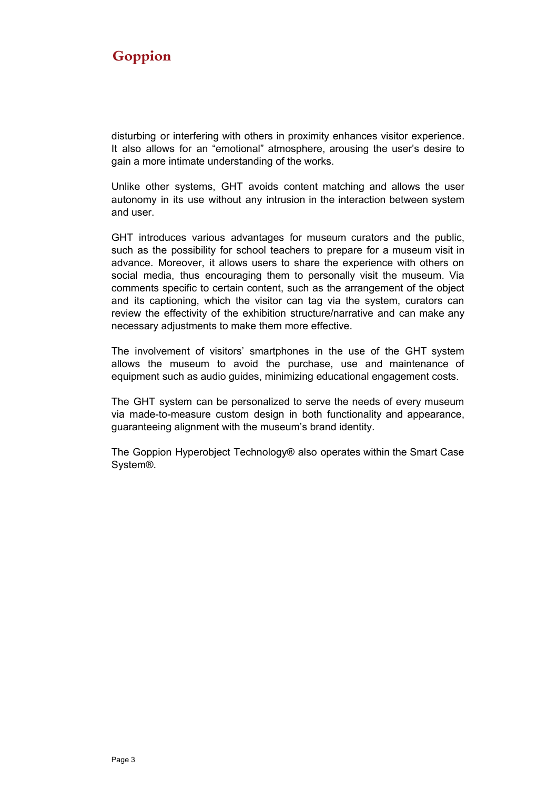disturbing or interfering with others in proximity enhances visitor experience. It also allows for an "emotional" atmosphere, arousing the user's desire to gain a more intimate understanding of the works.

Unlike other systems, GHT avoids content matching and allows the user autonomy in its use without any intrusion in the interaction between system and user.

GHT introduces various advantages for museum curators and the public, such as the possibility for school teachers to prepare for a museum visit in advance. Moreover, it allows users to share the experience with others on social media, thus encouraging them to personally visit the museum. Via comments specific to certain content, such as the arrangement of the object and its captioning, which the visitor can tag via the system, curators can review the effectivity of the exhibition structure/narrative and can make any necessary adjustments to make them more effective.

The involvement of visitors' smartphones in the use of the GHT system allows the museum to avoid the purchase, use and maintenance of equipment such as audio guides, minimizing educational engagement costs.

The GHT system can be personalized to serve the needs of every museum via made-to-measure custom design in both functionality and appearance, guaranteeing alignment with the museum's brand identity.

The Goppion Hyperobject Technology® also operates within the Smart Case System®.